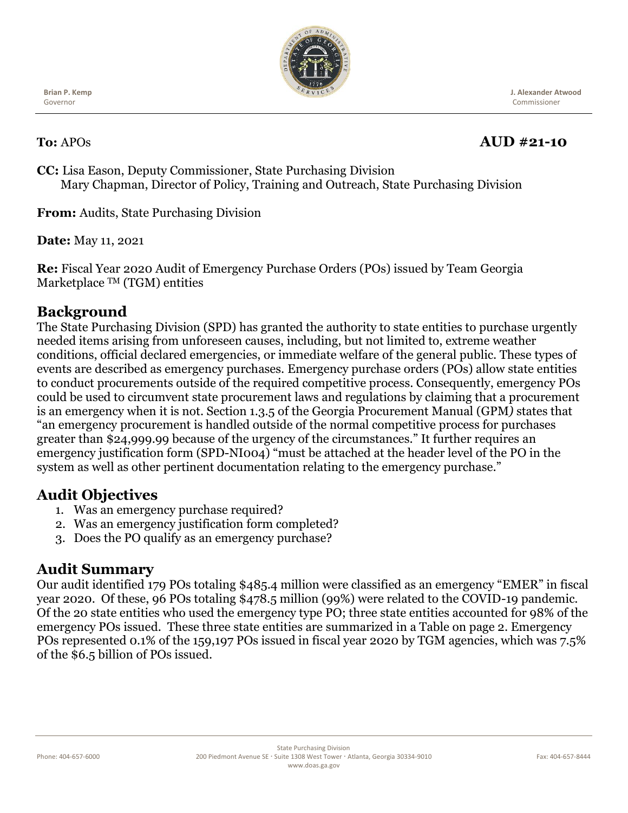

**Brian P. Kemp** Governor

# **To:** APOs **AUD #21-10**

 **J. Alexander Atwood** Commissioner

**CC:** Lisa Eason, Deputy Commissioner, State Purchasing Division Mary Chapman, Director of Policy, Training and Outreach, State Purchasing Division

**From:** Audits, State Purchasing Division

**Date:** May 11, 2021

**Re:** Fiscal Year 2020 Audit of Emergency Purchase Orders (POs) issued by Team Georgia Marketplace TM (TGM) entities

## **Background**

The State Purchasing Division (SPD) has granted the authority to state entities to purchase urgently needed items arising from unforeseen causes, including, but not limited to, extreme weather conditions, official declared emergencies, or immediate welfare of the general public. These types of events are described as emergency purchases. Emergency purchase orders (POs) allow state entities to conduct procurements outside of the required competitive process. Consequently, emergency POs could be used to circumvent state procurement laws and regulations by claiming that a procurement is an emergency when it is not. Section 1.3.5 of the Georgia Procurement Manual (GPM*)* states that "an emergency procurement is handled outside of the normal competitive process for purchases greater than \$24,999.99 because of the urgency of the circumstances." It further requires an emergency justification form (SPD-NI004) "must be attached at the header level of the PO in the system as well as other pertinent documentation relating to the emergency purchase."

#### **Audit Objectives**

- 1. Was an emergency purchase required?
- 2. Was an emergency justification form completed?
- 3. Does the PO qualify as an emergency purchase?

#### **Audit Summary**

Our audit identified 179 POs totaling \$485.4 million were classified as an emergency "EMER" in fiscal year 2020. Of these, 96 POs totaling \$478.5 million (99%) were related to the COVID-19 pandemic. Of the 20 state entities who used the emergency type PO; three state entities accounted for 98% of the emergency POs issued. These three state entities are summarized in a Table on page 2. Emergency POs represented 0.1% of the 159,197 POs issued in fiscal year 2020 by TGM agencies, which was 7.5% of the \$6.5 billion of POs issued.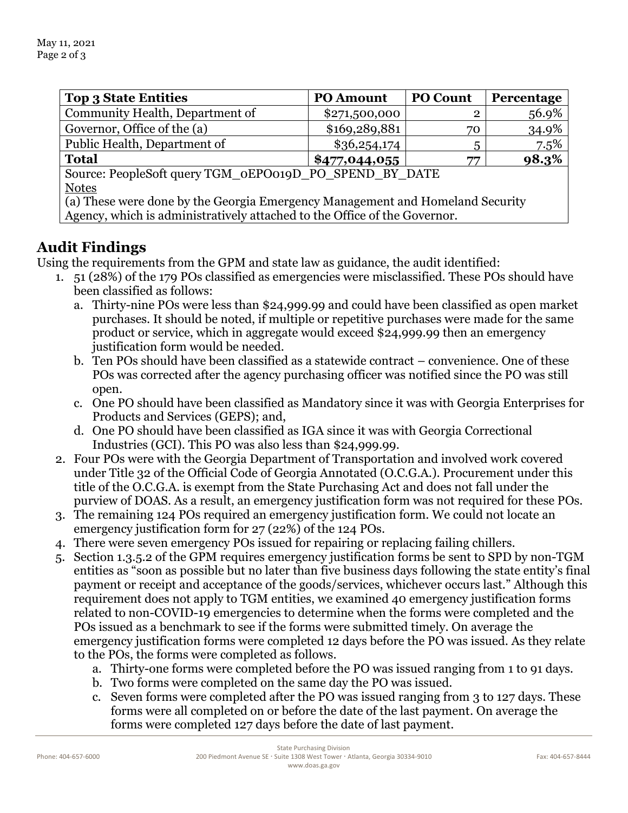| <b>Top 3 State Entities</b>                                                   | <b>PO Amount</b> | <b>PO Count</b> | Percentage |
|-------------------------------------------------------------------------------|------------------|-----------------|------------|
| Community Health, Department of                                               | \$271,500,000    | $\overline{2}$  | 56.9%      |
| Governor, Office of the (a)                                                   | \$169,289,881    | 70              | 34.9%      |
| Public Health, Department of                                                  | \$36,254,174     | 5               | 7.5%       |
| <b>Total</b>                                                                  | \$477,044,055    | 77              | 98.3%      |
| Source: PeopleSoft query TGM_0EPO019D_PO_SPEND_BY_DATE                        |                  |                 |            |
| <b>Notes</b>                                                                  |                  |                 |            |
| (a) These were done by the Georgia Emergency Management and Homeland Security |                  |                 |            |
| Agency, which is administratively attached to the Office of the Governor.     |                  |                 |            |

### **Audit Findings**

Using the requirements from the GPM and state law as guidance, the audit identified:

- 1. 51 (28%) of the 179 POs classified as emergencies were misclassified. These POs should have been classified as follows:
	- a. Thirty-nine POs were less than \$24,999.99 and could have been classified as open market purchases. It should be noted, if multiple or repetitive purchases were made for the same product or service, which in aggregate would exceed \$24,999.99 then an emergency justification form would be needed.
	- b. Ten POs should have been classified as a statewide contract convenience. One of these POs was corrected after the agency purchasing officer was notified since the PO was still open.
	- c. One PO should have been classified as Mandatory since it was with Georgia Enterprises for Products and Services (GEPS); and,
	- d. One PO should have been classified as IGA since it was with Georgia Correctional Industries (GCI). This PO was also less than \$24,999.99.
- 2. Four POs were with the Georgia Department of Transportation and involved work covered under Title 32 of the Official Code of Georgia Annotated (O.C.G.A.). Procurement under this title of the O.C.G.A. is exempt from the State Purchasing Act and does not fall under the purview of DOAS. As a result, an emergency justification form was not required for these POs.
- 3. The remaining 124 POs required an emergency justification form. We could not locate an emergency justification form for 27 (22%) of the 124 POs.
- 4. There were seven emergency POs issued for repairing or replacing failing chillers.
- 5. Section 1.3.5.2 of the GPM requires emergency justification forms be sent to SPD by non-TGM entities as "soon as possible but no later than five business days following the state entity's final payment or receipt and acceptance of the goods/services, whichever occurs last." Although this requirement does not apply to TGM entities, we examined 40 emergency justification forms related to non-COVID-19 emergencies to determine when the forms were completed and the POs issued as a benchmark to see if the forms were submitted timely. On average the emergency justification forms were completed 12 days before the PO was issued. As they relate to the POs, the forms were completed as follows.
	- a. Thirty-one forms were completed before the PO was issued ranging from 1 to 91 days.
	- b. Two forms were completed on the same day the PO was issued.
	- c. Seven forms were completed after the PO was issued ranging from 3 to 127 days. These forms were all completed on or before the date of the last payment. On average the forms were completed 127 days before the date of last payment.